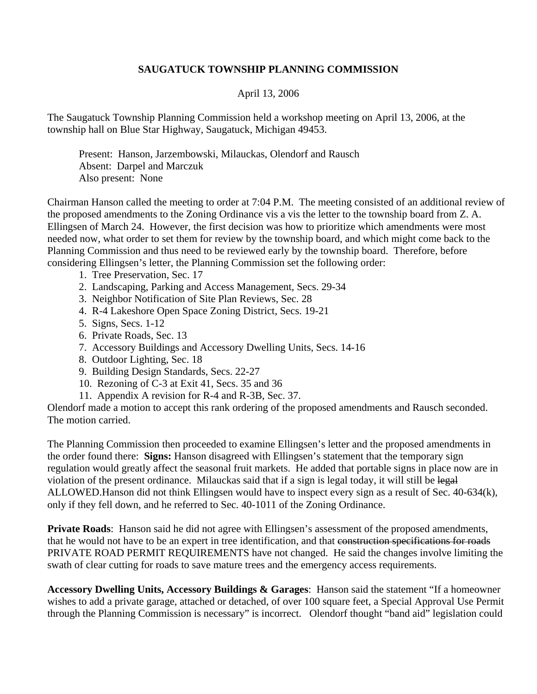## **SAUGATUCK TOWNSHIP PLANNING COMMISSION**

## April 13, 2006

The Saugatuck Township Planning Commission held a workshop meeting on April 13, 2006, at the township hall on Blue Star Highway, Saugatuck, Michigan 49453.

 Present: Hanson, Jarzembowski, Milauckas, Olendorf and Rausch Absent: Darpel and Marczuk Also present: None

Chairman Hanson called the meeting to order at 7:04 P.M. The meeting consisted of an additional review of the proposed amendments to the Zoning Ordinance vis a vis the letter to the township board from Z. A. Ellingsen of March 24. However, the first decision was how to prioritize which amendments were most needed now, what order to set them for review by the township board, and which might come back to the Planning Commission and thus need to be reviewed early by the township board. Therefore, before considering Ellingsen's letter, the Planning Commission set the following order:

- 1. Tree Preservation, Sec. 17
- 2. Landscaping, Parking and Access Management, Secs. 29-34
- 3. Neighbor Notification of Site Plan Reviews, Sec. 28
- 4. R-4 Lakeshore Open Space Zoning District, Secs. 19-21
- 5. Signs, Secs. 1-12
- 6. Private Roads, Sec. 13
- 7. Accessory Buildings and Accessory Dwelling Units, Secs. 14-16
- 8. Outdoor Lighting, Sec. 18
- 9. Building Design Standards, Secs. 22-27
- 10. Rezoning of C-3 at Exit 41, Secs. 35 and 36
- 11. Appendix A revision for R-4 and R-3B, Sec. 37.

Olendorf made a motion to accept this rank ordering of the proposed amendments and Rausch seconded. The motion carried.

The Planning Commission then proceeded to examine Ellingsen's letter and the proposed amendments in the order found there: **Signs:** Hanson disagreed with Ellingsen's statement that the temporary sign regulation would greatly affect the seasonal fruit markets. He added that portable signs in place now are in violation of the present ordinance. Milauckas said that if a sign is legal today, it will still be legal ALLOWED.Hanson did not think Ellingsen would have to inspect every sign as a result of Sec. 40-634(k), only if they fell down, and he referred to Sec. 40-1011 of the Zoning Ordinance.

**Private Roads**: Hanson said he did not agree with Ellingsen's assessment of the proposed amendments, that he would not have to be an expert in tree identification, and that construction specifications for roads PRIVATE ROAD PERMIT REQUIREMENTS have not changed. He said the changes involve limiting the swath of clear cutting for roads to save mature trees and the emergency access requirements.

**Accessory Dwelling Units, Accessory Buildings & Garages**: Hanson said the statement "If a homeowner wishes to add a private garage, attached or detached, of over 100 square feet, a Special Approval Use Permit through the Planning Commission is necessary" is incorrect. Olendorf thought "band aid" legislation could